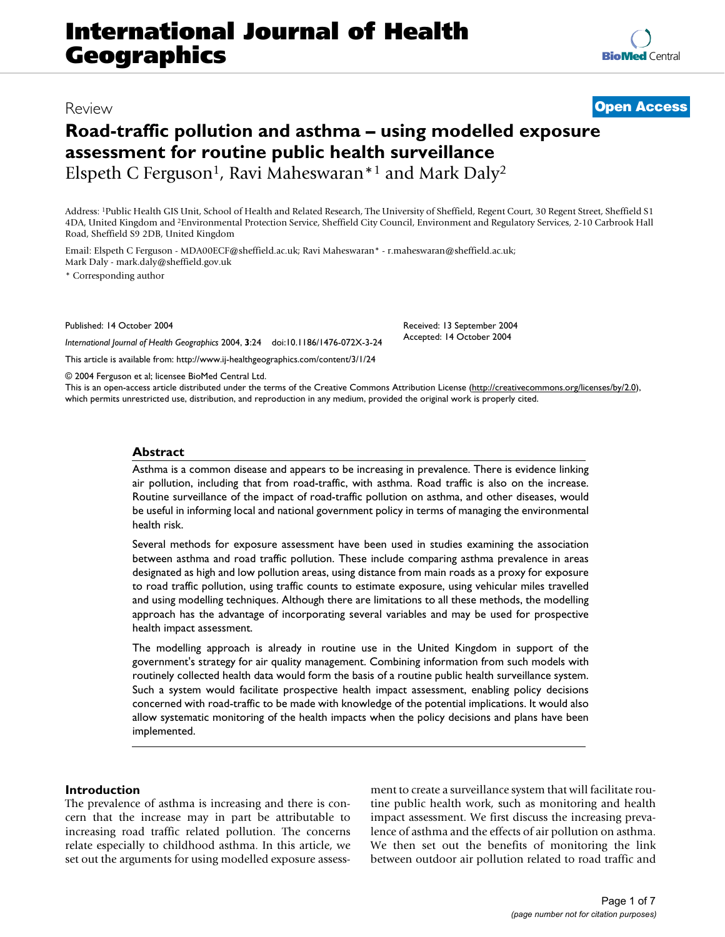# Review **[Open Access](http://www.biomedcentral.com/info/about/charter/)**

# **Road-traffic pollution and asthma – using modelled exposure assessment for routine public health surveillance** Elspeth C Ferguson<sup>1</sup>, Ravi Maheswaran<sup>\*1</sup> and Mark Daly<sup>2</sup>

Address: 1Public Health GIS Unit, School of Health and Related Research, The University of Sheffield, Regent Court, 30 Regent Street, Sheffield S1 4DA, United Kingdom and 2Environmental Protection Service, Sheffield City Council, Environment and Regulatory Services, 2-10 Carbrook Hall Road, Sheffield S9 2DB, United Kingdom

> Received: 13 September 2004 Accepted: 14 October 2004

Email: Elspeth C Ferguson - MDA00ECF@sheffield.ac.uk; Ravi Maheswaran\* - r.maheswaran@sheffield.ac.uk; Mark Daly - mark.daly@sheffield.gov.uk

\* Corresponding author

Published: 14 October 2004

*International Journal of Health Geographics* 2004, **3**:24 doi:10.1186/1476-072X-3-24

[This article is available from: http://www.ij-healthgeographics.com/content/3/1/24](http://www.ij-healthgeographics.com/content/3/1/24)

© 2004 Ferguson et al; licensee BioMed Central Ltd.

This is an open-access article distributed under the terms of the Creative Commons Attribution License (<http://creativecommons.org/licenses/by/2.0>), which permits unrestricted use, distribution, and reproduction in any medium, provided the original work is properly cited.

### **Abstract**

Asthma is a common disease and appears to be increasing in prevalence. There is evidence linking air pollution, including that from road-traffic, with asthma. Road traffic is also on the increase. Routine surveillance of the impact of road-traffic pollution on asthma, and other diseases, would be useful in informing local and national government policy in terms of managing the environmental health risk.

Several methods for exposure assessment have been used in studies examining the association between asthma and road traffic pollution. These include comparing asthma prevalence in areas designated as high and low pollution areas, using distance from main roads as a proxy for exposure to road traffic pollution, using traffic counts to estimate exposure, using vehicular miles travelled and using modelling techniques. Although there are limitations to all these methods, the modelling approach has the advantage of incorporating several variables and may be used for prospective health impact assessment.

The modelling approach is already in routine use in the United Kingdom in support of the government's strategy for air quality management. Combining information from such models with routinely collected health data would form the basis of a routine public health surveillance system. Such a system would facilitate prospective health impact assessment, enabling policy decisions concerned with road-traffic to be made with knowledge of the potential implications. It would also allow systematic monitoring of the health impacts when the policy decisions and plans have been implemented.

## **Introduction**

The prevalence of asthma is increasing and there is concern that the increase may in part be attributable to increasing road traffic related pollution. The concerns relate especially to childhood asthma. In this article, we set out the arguments for using modelled exposure assessment to create a surveillance system that will facilitate routine public health work, such as monitoring and health impact assessment. We first discuss the increasing prevalence of asthma and the effects of air pollution on asthma. We then set out the benefits of monitoring the link between outdoor air pollution related to road traffic and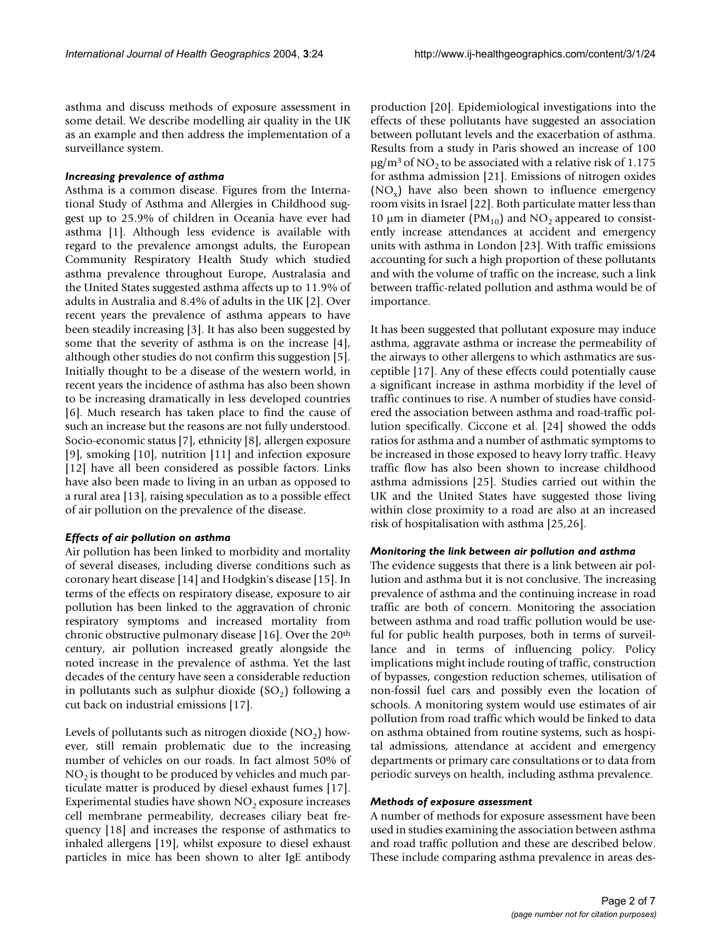asthma and discuss methods of exposure assessment in some detail. We describe modelling air quality in the UK as an example and then address the implementation of a surveillance system.

#### *Increasing prevalence of asthma*

Asthma is a common disease. Figures from the International Study of Asthma and Allergies in Childhood suggest up to 25.9% of children in Oceania have ever had asthma [1]. Although less evidence is available with regard to the prevalence amongst adults, the European Community Respiratory Health Study which studied asthma prevalence throughout Europe, Australasia and the United States suggested asthma affects up to 11.9% of adults in Australia and 8.4% of adults in the UK [2]. Over recent years the prevalence of asthma appears to have been steadily increasing [3]. It has also been suggested by some that the severity of asthma is on the increase [4], although other studies do not confirm this suggestion [5]. Initially thought to be a disease of the western world, in recent years the incidence of asthma has also been shown to be increasing dramatically in less developed countries [6]. Much research has taken place to find the cause of such an increase but the reasons are not fully understood. Socio-economic status [7], ethnicity [8], allergen exposure [9], smoking [10], nutrition [11] and infection exposure [12] have all been considered as possible factors. Links have also been made to living in an urban as opposed to a rural area [13], raising speculation as to a possible effect of air pollution on the prevalence of the disease.

#### *Effects of air pollution on asthma*

Air pollution has been linked to morbidity and mortality of several diseases, including diverse conditions such as coronary heart disease [14] and Hodgkin's disease [15]. In terms of the effects on respiratory disease, exposure to air pollution has been linked to the aggravation of chronic respiratory symptoms and increased mortality from chronic obstructive pulmonary disease [16]. Over the 20th century, air pollution increased greatly alongside the noted increase in the prevalence of asthma. Yet the last decades of the century have seen a considerable reduction in pollutants such as sulphur dioxide  $(SO<sub>2</sub>)$  following a cut back on industrial emissions [17].

Levels of pollutants such as nitrogen dioxide  $(NO<sub>2</sub>)$  however, still remain problematic due to the increasing number of vehicles on our roads. In fact almost 50% of  $NO<sub>2</sub>$  is thought to be produced by vehicles and much particulate matter is produced by diesel exhaust fumes [17]. Experimental studies have shown  $NO<sub>2</sub>$  exposure increases cell membrane permeability, decreases ciliary beat frequency [18] and increases the response of asthmatics to inhaled allergens [19], whilst exposure to diesel exhaust particles in mice has been shown to alter IgE antibody production [20]. Epidemiological investigations into the effects of these pollutants have suggested an association between pollutant levels and the exacerbation of asthma. Results from a study in Paris showed an increase of 100  $\mu$ g/m<sup>3</sup> of NO<sub>2</sub> to be associated with a relative risk of 1.175 for asthma admission [21]. Emissions of nitrogen oxides  $(NO<sub>x</sub>)$  have also been shown to influence emergency room visits in Israel [22]. Both particulate matter less than 10  $\mu$ m in diameter (PM<sub>10</sub>) and NO<sub>2</sub> appeared to consistently increase attendances at accident and emergency units with asthma in London [23]. With traffic emissions accounting for such a high proportion of these pollutants and with the volume of traffic on the increase, such a link between traffic-related pollution and asthma would be of importance.

It has been suggested that pollutant exposure may induce asthma, aggravate asthma or increase the permeability of the airways to other allergens to which asthmatics are susceptible [17]. Any of these effects could potentially cause a significant increase in asthma morbidity if the level of traffic continues to rise. A number of studies have considered the association between asthma and road-traffic pollution specifically. Ciccone et al. [24] showed the odds ratios for asthma and a number of asthmatic symptoms to be increased in those exposed to heavy lorry traffic. Heavy traffic flow has also been shown to increase childhood asthma admissions [25]. Studies carried out within the UK and the United States have suggested those living within close proximity to a road are also at an increased risk of hospitalisation with asthma [25,26].

#### *Monitoring the link between air pollution and asthma*

The evidence suggests that there is a link between air pollution and asthma but it is not conclusive. The increasing prevalence of asthma and the continuing increase in road traffic are both of concern. Monitoring the association between asthma and road traffic pollution would be useful for public health purposes, both in terms of surveillance and in terms of influencing policy. Policy implications might include routing of traffic, construction of bypasses, congestion reduction schemes, utilisation of non-fossil fuel cars and possibly even the location of schools. A monitoring system would use estimates of air pollution from road traffic which would be linked to data on asthma obtained from routine systems, such as hospital admissions, attendance at accident and emergency departments or primary care consultations or to data from periodic surveys on health, including asthma prevalence.

#### *Methods of exposure assessment*

A number of methods for exposure assessment have been used in studies examining the association between asthma and road traffic pollution and these are described below. These include comparing asthma prevalence in areas des-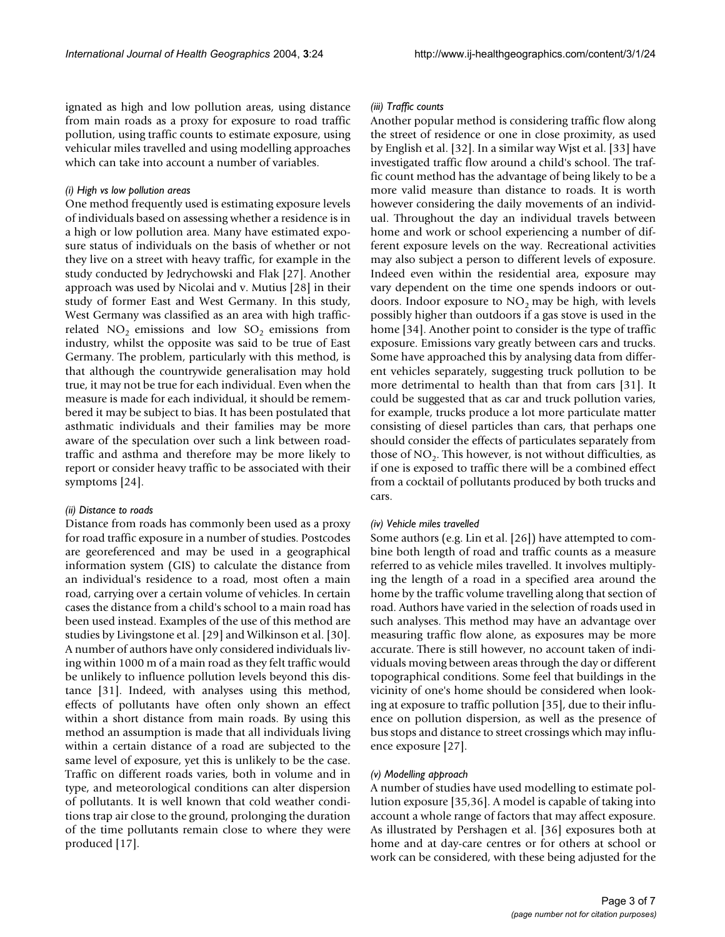ignated as high and low pollution areas, using distance from main roads as a proxy for exposure to road traffic pollution, using traffic counts to estimate exposure, using vehicular miles travelled and using modelling approaches which can take into account a number of variables.

#### *(i) High vs low pollution areas*

One method frequently used is estimating exposure levels of individuals based on assessing whether a residence is in a high or low pollution area. Many have estimated exposure status of individuals on the basis of whether or not they live on a street with heavy traffic, for example in the study conducted by Jedrychowski and Flak [27]. Another approach was used by Nicolai and v. Mutius [28] in their study of former East and West Germany. In this study, West Germany was classified as an area with high trafficrelated  $NO<sub>2</sub>$  emissions and low  $SO<sub>2</sub>$  emissions from industry, whilst the opposite was said to be true of East Germany. The problem, particularly with this method, is that although the countrywide generalisation may hold true, it may not be true for each individual. Even when the measure is made for each individual, it should be remembered it may be subject to bias. It has been postulated that asthmatic individuals and their families may be more aware of the speculation over such a link between roadtraffic and asthma and therefore may be more likely to report or consider heavy traffic to be associated with their symptoms [24].

#### *(ii) Distance to roads*

Distance from roads has commonly been used as a proxy for road traffic exposure in a number of studies. Postcodes are georeferenced and may be used in a geographical information system (GIS) to calculate the distance from an individual's residence to a road, most often a main road, carrying over a certain volume of vehicles. In certain cases the distance from a child's school to a main road has been used instead. Examples of the use of this method are studies by Livingstone et al. [29] and Wilkinson et al. [30]. A number of authors have only considered individuals living within 1000 m of a main road as they felt traffic would be unlikely to influence pollution levels beyond this distance [31]. Indeed, with analyses using this method, effects of pollutants have often only shown an effect within a short distance from main roads. By using this method an assumption is made that all individuals living within a certain distance of a road are subjected to the same level of exposure, yet this is unlikely to be the case. Traffic on different roads varies, both in volume and in type, and meteorological conditions can alter dispersion of pollutants. It is well known that cold weather conditions trap air close to the ground, prolonging the duration of the time pollutants remain close to where they were produced [17].

#### *(iii) Traffic counts*

Another popular method is considering traffic flow along the street of residence or one in close proximity, as used by English et al. [32]. In a similar way Wjst et al. [33] have investigated traffic flow around a child's school. The traffic count method has the advantage of being likely to be a more valid measure than distance to roads. It is worth however considering the daily movements of an individual. Throughout the day an individual travels between home and work or school experiencing a number of different exposure levels on the way. Recreational activities may also subject a person to different levels of exposure. Indeed even within the residential area, exposure may vary dependent on the time one spends indoors or outdoors. Indoor exposure to  $NO<sub>2</sub>$  may be high, with levels possibly higher than outdoors if a gas stove is used in the home [34]. Another point to consider is the type of traffic exposure. Emissions vary greatly between cars and trucks. Some have approached this by analysing data from different vehicles separately, suggesting truck pollution to be more detrimental to health than that from cars [31]. It could be suggested that as car and truck pollution varies, for example, trucks produce a lot more particulate matter consisting of diesel particles than cars, that perhaps one should consider the effects of particulates separately from those of  $NO<sub>2</sub>$ . This however, is not without difficulties, as if one is exposed to traffic there will be a combined effect from a cocktail of pollutants produced by both trucks and cars.

#### *(iv) Vehicle miles travelled*

Some authors (e.g. Lin et al. [26]) have attempted to combine both length of road and traffic counts as a measure referred to as vehicle miles travelled. It involves multiplying the length of a road in a specified area around the home by the traffic volume travelling along that section of road. Authors have varied in the selection of roads used in such analyses. This method may have an advantage over measuring traffic flow alone, as exposures may be more accurate. There is still however, no account taken of individuals moving between areas through the day or different topographical conditions. Some feel that buildings in the vicinity of one's home should be considered when looking at exposure to traffic pollution [35], due to their influence on pollution dispersion, as well as the presence of bus stops and distance to street crossings which may influence exposure [27].

#### *(v) Modelling approach*

A number of studies have used modelling to estimate pollution exposure [35,36]. A model is capable of taking into account a whole range of factors that may affect exposure. As illustrated by Pershagen et al. [36] exposures both at home and at day-care centres or for others at school or work can be considered, with these being adjusted for the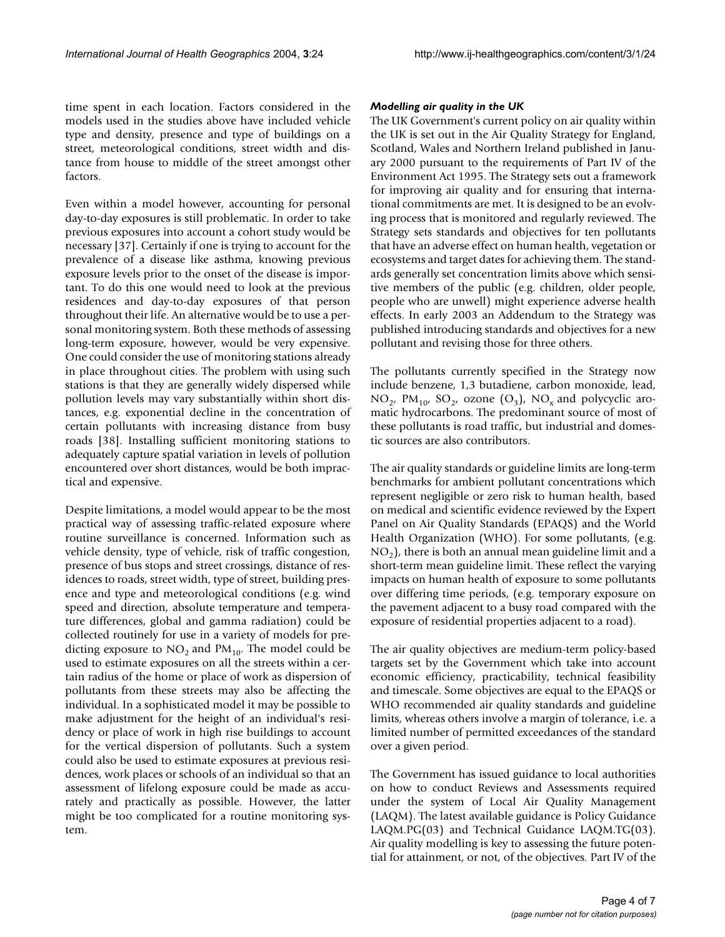time spent in each location. Factors considered in the models used in the studies above have included vehicle type and density, presence and type of buildings on a street, meteorological conditions, street width and distance from house to middle of the street amongst other factors.

Even within a model however, accounting for personal day-to-day exposures is still problematic. In order to take previous exposures into account a cohort study would be necessary [37]. Certainly if one is trying to account for the prevalence of a disease like asthma, knowing previous exposure levels prior to the onset of the disease is important. To do this one would need to look at the previous residences and day-to-day exposures of that person throughout their life. An alternative would be to use a personal monitoring system. Both these methods of assessing long-term exposure, however, would be very expensive. One could consider the use of monitoring stations already in place throughout cities. The problem with using such stations is that they are generally widely dispersed while pollution levels may vary substantially within short distances, e.g. exponential decline in the concentration of certain pollutants with increasing distance from busy roads [38]. Installing sufficient monitoring stations to adequately capture spatial variation in levels of pollution encountered over short distances, would be both impractical and expensive.

Despite limitations, a model would appear to be the most practical way of assessing traffic-related exposure where routine surveillance is concerned. Information such as vehicle density, type of vehicle, risk of traffic congestion, presence of bus stops and street crossings, distance of residences to roads, street width, type of street, building presence and type and meteorological conditions (e.g. wind speed and direction, absolute temperature and temperature differences, global and gamma radiation) could be collected routinely for use in a variety of models for predicting exposure to  $NO<sub>2</sub>$  and  $PM<sub>10</sub>$ . The model could be used to estimate exposures on all the streets within a certain radius of the home or place of work as dispersion of pollutants from these streets may also be affecting the individual. In a sophisticated model it may be possible to make adjustment for the height of an individual's residency or place of work in high rise buildings to account for the vertical dispersion of pollutants. Such a system could also be used to estimate exposures at previous residences, work places or schools of an individual so that an assessment of lifelong exposure could be made as accurately and practically as possible. However, the latter might be too complicated for a routine monitoring system.

#### *Modelling air quality in the UK*

The UK Government's current policy on air quality within the UK is set out in the Air Quality Strategy for England, Scotland, Wales and Northern Ireland published in January 2000 pursuant to the requirements of Part IV of the Environment Act 1995. The Strategy sets out a framework for improving air quality and for ensuring that international commitments are met. It is designed to be an evolving process that is monitored and regularly reviewed. The Strategy sets standards and objectives for ten pollutants that have an adverse effect on human health, vegetation or ecosystems and target dates for achieving them. The standards generally set concentration limits above which sensitive members of the public (e.g. children, older people, people who are unwell) might experience adverse health effects. In early 2003 an Addendum to the Strategy was published introducing standards and objectives for a new pollutant and revising those for three others.

The pollutants currently specified in the Strategy now include benzene, 1,3 butadiene, carbon monoxide, lead,  $NO_{2}$ , PM<sub>10</sub>, SO<sub>2</sub>, ozone  $(O_3)$ , NO<sub>x</sub> and polycyclic aromatic hydrocarbons. The predominant source of most of these pollutants is road traffic, but industrial and domestic sources are also contributors.

The air quality standards or guideline limits are long-term benchmarks for ambient pollutant concentrations which represent negligible or zero risk to human health, based on medical and scientific evidence reviewed by the Expert Panel on Air Quality Standards (EPAQS) and the World Health Organization (WHO). For some pollutants, (e.g.  $NO<sub>2</sub>$ ), there is both an annual mean guideline limit and a short-term mean guideline limit. These reflect the varying impacts on human health of exposure to some pollutants over differing time periods, (e.g. temporary exposure on the pavement adjacent to a busy road compared with the exposure of residential properties adjacent to a road).

The air quality objectives are medium-term policy-based targets set by the Government which take into account economic efficiency, practicability, technical feasibility and timescale. Some objectives are equal to the EPAQS or WHO recommended air quality standards and guideline limits, whereas others involve a margin of tolerance, i.e. a limited number of permitted exceedances of the standard over a given period.

The Government has issued guidance to local authorities on how to conduct Reviews and Assessments required under the system of Local Air Quality Management (LAQM). The latest available guidance is Policy Guidance LAQM.PG(03) and Technical Guidance LAQM.TG(03). Air quality modelling is key to assessing the future potential for attainment, or not, of the objectives. Part IV of the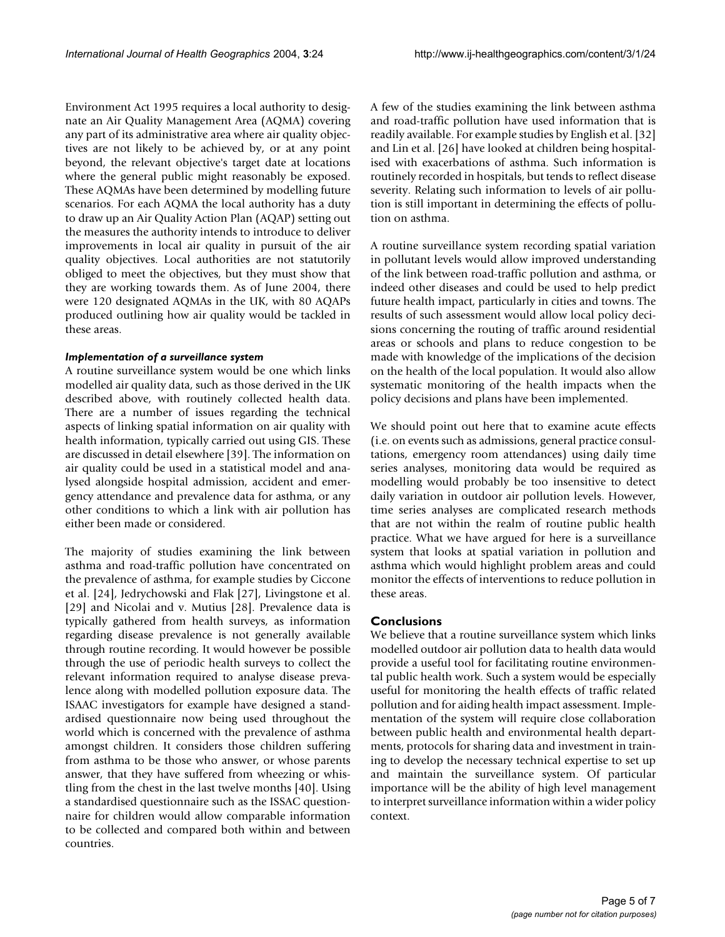Environment Act 1995 requires a local authority to designate an Air Quality Management Area (AQMA) covering any part of its administrative area where air quality objectives are not likely to be achieved by, or at any point beyond, the relevant objective's target date at locations where the general public might reasonably be exposed. These AQMAs have been determined by modelling future scenarios. For each AQMA the local authority has a duty to draw up an Air Quality Action Plan (AQAP) setting out the measures the authority intends to introduce to deliver improvements in local air quality in pursuit of the air quality objectives. Local authorities are not statutorily obliged to meet the objectives, but they must show that they are working towards them. As of June 2004, there were 120 designated AQMAs in the UK, with 80 AQAPs produced outlining how air quality would be tackled in these areas.

#### *Implementation of a surveillance system*

A routine surveillance system would be one which links modelled air quality data, such as those derived in the UK described above, with routinely collected health data. There are a number of issues regarding the technical aspects of linking spatial information on air quality with health information, typically carried out using GIS. These are discussed in detail elsewhere [39]. The information on air quality could be used in a statistical model and analysed alongside hospital admission, accident and emergency attendance and prevalence data for asthma, or any other conditions to which a link with air pollution has either been made or considered.

The majority of studies examining the link between asthma and road-traffic pollution have concentrated on the prevalence of asthma, for example studies by Ciccone et al. [24], Jedrychowski and Flak [27], Livingstone et al. [29] and Nicolai and v. Mutius [28]. Prevalence data is typically gathered from health surveys, as information regarding disease prevalence is not generally available through routine recording. It would however be possible through the use of periodic health surveys to collect the relevant information required to analyse disease prevalence along with modelled pollution exposure data. The ISAAC investigators for example have designed a standardised questionnaire now being used throughout the world which is concerned with the prevalence of asthma amongst children. It considers those children suffering from asthma to be those who answer, or whose parents answer, that they have suffered from wheezing or whistling from the chest in the last twelve months [40]. Using a standardised questionnaire such as the ISSAC questionnaire for children would allow comparable information to be collected and compared both within and between countries.

A few of the studies examining the link between asthma and road-traffic pollution have used information that is readily available. For example studies by English et al. [32] and Lin et al. [26] have looked at children being hospitalised with exacerbations of asthma. Such information is routinely recorded in hospitals, but tends to reflect disease severity. Relating such information to levels of air pollution is still important in determining the effects of pollution on asthma.

A routine surveillance system recording spatial variation in pollutant levels would allow improved understanding of the link between road-traffic pollution and asthma, or indeed other diseases and could be used to help predict future health impact, particularly in cities and towns. The results of such assessment would allow local policy decisions concerning the routing of traffic around residential areas or schools and plans to reduce congestion to be made with knowledge of the implications of the decision on the health of the local population. It would also allow systematic monitoring of the health impacts when the policy decisions and plans have been implemented.

We should point out here that to examine acute effects (i.e. on events such as admissions, general practice consultations, emergency room attendances) using daily time series analyses, monitoring data would be required as modelling would probably be too insensitive to detect daily variation in outdoor air pollution levels. However, time series analyses are complicated research methods that are not within the realm of routine public health practice. What we have argued for here is a surveillance system that looks at spatial variation in pollution and asthma which would highlight problem areas and could monitor the effects of interventions to reduce pollution in these areas.

#### **Conclusions**

We believe that a routine surveillance system which links modelled outdoor air pollution data to health data would provide a useful tool for facilitating routine environmental public health work. Such a system would be especially useful for monitoring the health effects of traffic related pollution and for aiding health impact assessment. Implementation of the system will require close collaboration between public health and environmental health departments, protocols for sharing data and investment in training to develop the necessary technical expertise to set up and maintain the surveillance system. Of particular importance will be the ability of high level management to interpret surveillance information within a wider policy context.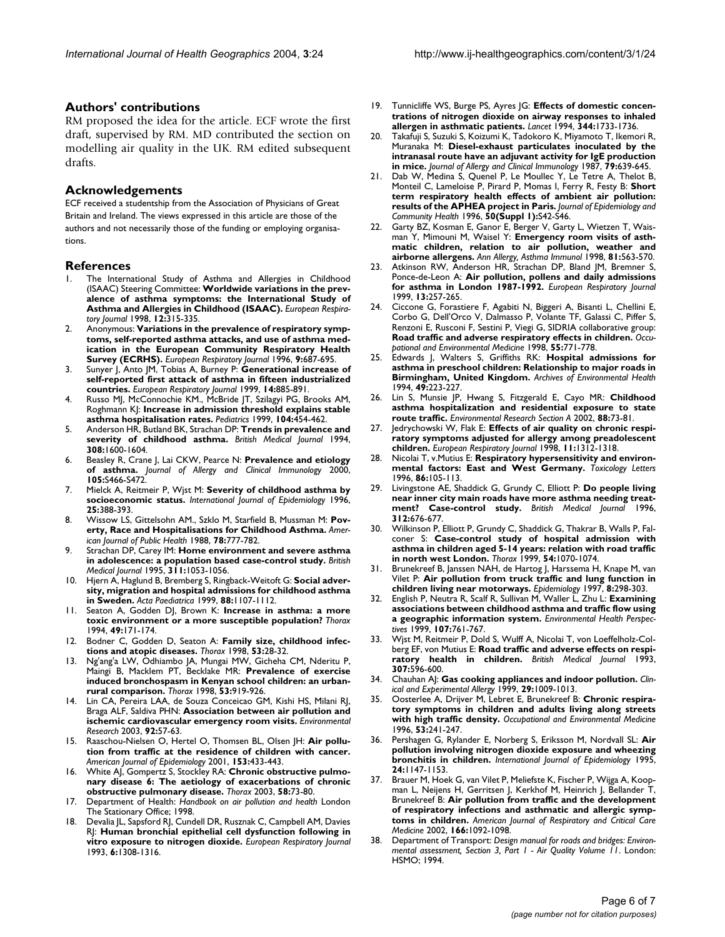#### **Authors' contributions**

RM proposed the idea for the article. ECF wrote the first draft, supervised by RM. MD contributed the section on modelling air quality in the UK. RM edited subsequent drafts.

#### **Acknowledgements**

ECF received a studentship from the Association of Physicians of Great Britain and Ireland. The views expressed in this article are those of the authors and not necessarily those of the funding or employing organisations.

#### **References**

- The International Study of Asthma and Allergies in Childhood (ISAAC) Steering Committee: **[Worldwide variations in the prev](http://www.ncbi.nlm.nih.gov/entrez/query.fcgi?cmd=Retrieve&db=PubMed&dopt=Abstract&list_uids=9727780)[alence of asthma symptoms: the International Study of](http://www.ncbi.nlm.nih.gov/entrez/query.fcgi?cmd=Retrieve&db=PubMed&dopt=Abstract&list_uids=9727780) [Asthma and Allergies in Childhood \(ISAAC\).](http://www.ncbi.nlm.nih.gov/entrez/query.fcgi?cmd=Retrieve&db=PubMed&dopt=Abstract&list_uids=9727780)** *European Respiratory Journal* 1998, **12:**315-335.
- 2. Anonymous: **[Variations in the prevalence of respiratory symp](http://www.ncbi.nlm.nih.gov/entrez/query.fcgi?cmd=Retrieve&db=PubMed&dopt=Abstract&list_uids=8726932)[toms, self-reported asthma attacks, and use of asthma med](http://www.ncbi.nlm.nih.gov/entrez/query.fcgi?cmd=Retrieve&db=PubMed&dopt=Abstract&list_uids=8726932)ication in the European Community Respiratory Health [Survey \(ECRHS\).](http://www.ncbi.nlm.nih.gov/entrez/query.fcgi?cmd=Retrieve&db=PubMed&dopt=Abstract&list_uids=8726932)** *European Respiratory Journal* 1996, **9:**687-695.
- 3. Sunyer J, Anto JM, Tobias A, Burney P: **[Generational increase of](http://www.ncbi.nlm.nih.gov/entrez/query.fcgi?cmd=Retrieve&db=PubMed&dopt=Abstract&list_uids=10573237) [self-reported first attack of asthma in fifteen industrialized](http://www.ncbi.nlm.nih.gov/entrez/query.fcgi?cmd=Retrieve&db=PubMed&dopt=Abstract&list_uids=10573237) [countries.](http://www.ncbi.nlm.nih.gov/entrez/query.fcgi?cmd=Retrieve&db=PubMed&dopt=Abstract&list_uids=10573237)** *European Respiratory Journal* 1999, **14:**885-891.
- 4. Russo MJ, McConnochie KM., McBride JT, Szilagyi PG, Brooks AM, Roghmann KJ: **[Increase in admission threshold explains stable](http://www.ncbi.nlm.nih.gov/entrez/query.fcgi?cmd=Retrieve&db=PubMed&dopt=Abstract&list_uids=10469769) [asthma hospitalisation rates.](http://www.ncbi.nlm.nih.gov/entrez/query.fcgi?cmd=Retrieve&db=PubMed&dopt=Abstract&list_uids=10469769)** *Pediatrics* 1999, **104:**454-462.
- 5. Anderson HR, Butland BK, Strachan DP: **[Trends in prevalence and](http://www.ncbi.nlm.nih.gov/entrez/query.fcgi?cmd=Retrieve&db=PubMed&dopt=Abstract&list_uids=8025426) [severity of childhood asthma.](http://www.ncbi.nlm.nih.gov/entrez/query.fcgi?cmd=Retrieve&db=PubMed&dopt=Abstract&list_uids=8025426)** *British Medical Journal* 1994, **308:**1600-1604.
- 6. Beasley R, Crane J, Lai CKW, Pearce N: **[Prevalence and etiology](http://www.ncbi.nlm.nih.gov/entrez/query.fcgi?cmd=Retrieve&db=PubMed&dopt=Abstract&list_uids=10669525) [of asthma.](http://www.ncbi.nlm.nih.gov/entrez/query.fcgi?cmd=Retrieve&db=PubMed&dopt=Abstract&list_uids=10669525)** *Journal of Allergy and Clinical Immunology* 2000, **105:**S466-S472.
- 7. Mielck A, Reitmeir P, Wjst M: **[Severity of childhood asthma by](http://www.ncbi.nlm.nih.gov/entrez/query.fcgi?cmd=Retrieve&db=PubMed&dopt=Abstract&list_uids=9119565) [socioeconomic status.](http://www.ncbi.nlm.nih.gov/entrez/query.fcgi?cmd=Retrieve&db=PubMed&dopt=Abstract&list_uids=9119565)** *International Journal of Epidemiology* 1996, **25:**388-393.
- 8. Wissow LS, Gittelsohn AM., Szklo M, Starfield B, Mussman M: **[Pov](http://www.ncbi.nlm.nih.gov/entrez/query.fcgi?cmd=Retrieve&db=PubMed&dopt=Abstract&list_uids=3381951)[erty, Race and Hospitalisations for Childhood Asthma.](http://www.ncbi.nlm.nih.gov/entrez/query.fcgi?cmd=Retrieve&db=PubMed&dopt=Abstract&list_uids=3381951)** *American Journal of Public Health* 1988, **78:**777-782.
- 9. Strachan DP, Carey IM: **[Home environment and severe asthma](http://www.ncbi.nlm.nih.gov/entrez/query.fcgi?cmd=Retrieve&db=PubMed&dopt=Abstract&list_uids=7580660) [in adolescence: a population based case-control study.](http://www.ncbi.nlm.nih.gov/entrez/query.fcgi?cmd=Retrieve&db=PubMed&dopt=Abstract&list_uids=7580660)** *British Medical Journal* 1995, **311:**1053-1056.
- 10. Hjern A, Haglund B, Bremberg S, Ringback-Weitoft G: **[Social adver](http://www.ncbi.nlm.nih.gov/entrez/query.fcgi?cmd=Retrieve&db=PubMed&dopt=Abstract&list_uids=10565458)[sity, migration and hospital admissions for childhood asthma](http://www.ncbi.nlm.nih.gov/entrez/query.fcgi?cmd=Retrieve&db=PubMed&dopt=Abstract&list_uids=10565458) [in Sweden.](http://www.ncbi.nlm.nih.gov/entrez/query.fcgi?cmd=Retrieve&db=PubMed&dopt=Abstract&list_uids=10565458)** *Acta Paediatrica* 1999, **88:**1107-1112.
- 11. Seaton A, Godden DJ, Brown K: **[Increase in asthma: a more](http://www.ncbi.nlm.nih.gov/entrez/query.fcgi?cmd=Retrieve&db=PubMed&dopt=Abstract&list_uids=8128408) [toxic environment or a more susceptible population?](http://www.ncbi.nlm.nih.gov/entrez/query.fcgi?cmd=Retrieve&db=PubMed&dopt=Abstract&list_uids=8128408)** *Thorax* 1994, **49:**171-174.
- 12. Bodner C, Godden D, Seaton A: **[Family size, childhood infec](http://www.ncbi.nlm.nih.gov/entrez/query.fcgi?cmd=Retrieve&db=PubMed&dopt=Abstract&list_uids=9577518)[tions and atopic diseases.](http://www.ncbi.nlm.nih.gov/entrez/query.fcgi?cmd=Retrieve&db=PubMed&dopt=Abstract&list_uids=9577518)** *Thorax* 1998, **53:**28-32.
- 13. Ng'ang'a LW, Odhiambo JA, Mungai MW, Gicheha CM, Nderitu P, Maingi B, Macklem PT, Becklake MR: **[Prevalence of exercise](http://www.ncbi.nlm.nih.gov/entrez/query.fcgi?cmd=Retrieve&db=PubMed&dopt=Abstract&list_uids=10193388) [induced bronchospasm in Kenyan school children: an urban](http://www.ncbi.nlm.nih.gov/entrez/query.fcgi?cmd=Retrieve&db=PubMed&dopt=Abstract&list_uids=10193388)[rural comparison.](http://www.ncbi.nlm.nih.gov/entrez/query.fcgi?cmd=Retrieve&db=PubMed&dopt=Abstract&list_uids=10193388)** *Thorax* 1998, **53:**919-926.
- 14. Lin CA, Pereira LAA, de Souza Conceicao GM, Kishi HS, Milani RJ, Braga ALF, Saldiva PHN: **[Association between air pollution and](http://www.ncbi.nlm.nih.gov/entrez/query.fcgi?cmd=Retrieve&db=PubMed&dopt=Abstract&list_uids=12706756) [ischemic cardiovascular emergency room visits.](http://www.ncbi.nlm.nih.gov/entrez/query.fcgi?cmd=Retrieve&db=PubMed&dopt=Abstract&list_uids=12706756)** *Environmental Research* 2003, **92:**57-63.
- 15. Raaschou-Nielsen O, Hertel O, Thomsen BL, Olsen JH: **[Air pollu](http://www.ncbi.nlm.nih.gov/entrez/query.fcgi?cmd=Retrieve&db=PubMed&dopt=Abstract&list_uids=11226975)[tion from traffic at the residence of children with cancer.](http://www.ncbi.nlm.nih.gov/entrez/query.fcgi?cmd=Retrieve&db=PubMed&dopt=Abstract&list_uids=11226975)** *American Journal of Epidemiology* 2001, **153:**433-443.
- 16. White AJ, Gompertz S, Stockley RA: **[Chronic obstructive pulmo](http://www.ncbi.nlm.nih.gov/entrez/query.fcgi?cmd=Retrieve&db=PubMed&dopt=Abstract&list_uids=12511727)[nary disease 6: The aetiology of exacerbations of chronic](http://www.ncbi.nlm.nih.gov/entrez/query.fcgi?cmd=Retrieve&db=PubMed&dopt=Abstract&list_uids=12511727) [obstructive pulmonary disease.](http://www.ncbi.nlm.nih.gov/entrez/query.fcgi?cmd=Retrieve&db=PubMed&dopt=Abstract&list_uids=12511727)** *Thorax* 2003, **58:**73-80.
- 17. Department of Health: *Handbook on air pollution and health* London The Stationary Office; 1998.
- 18. Devalia JL, Sapsford RJ, Cundell DR, Rusznak C, Campbell AM, Davies RJ: **[Human bronchial epithelial cell dysfunction following in](http://www.ncbi.nlm.nih.gov/entrez/query.fcgi?cmd=Retrieve&db=PubMed&dopt=Abstract&list_uids=8287947) [vitro exposure to nitrogen dioxide.](http://www.ncbi.nlm.nih.gov/entrez/query.fcgi?cmd=Retrieve&db=PubMed&dopt=Abstract&list_uids=8287947)** *European Respiratory Journal* 1993, **6:**1308-1316.
- 19. Tunnicliffe WS, Burge PS, Ayres JG: **[Effects of domestic concen](http://www.ncbi.nlm.nih.gov/entrez/query.fcgi?cmd=Retrieve&db=PubMed&dopt=Abstract&list_uids=7997002)[trations of nitrogen dioxide on airway responses to inhaled](http://www.ncbi.nlm.nih.gov/entrez/query.fcgi?cmd=Retrieve&db=PubMed&dopt=Abstract&list_uids=7997002) [allergen in asthmatic patients.](http://www.ncbi.nlm.nih.gov/entrez/query.fcgi?cmd=Retrieve&db=PubMed&dopt=Abstract&list_uids=7997002)** *Lancet* 1994, **344:**1733-1736.
- 20. Takafuji S, Suzuki S, Koizumi K, Tadokoro K, Miyamoto T, Ikemori R, Muranaka M: **[Diesel-exhaust particulates inoculated by the](http://www.ncbi.nlm.nih.gov/entrez/query.fcgi?cmd=Retrieve&db=PubMed&dopt=Abstract&list_uids=2435776) [intranasal route have an adjuvant activity for IgE production](http://www.ncbi.nlm.nih.gov/entrez/query.fcgi?cmd=Retrieve&db=PubMed&dopt=Abstract&list_uids=2435776) [in mice.](http://www.ncbi.nlm.nih.gov/entrez/query.fcgi?cmd=Retrieve&db=PubMed&dopt=Abstract&list_uids=2435776)** *Journal of Allergy and Clinical Immunology* 1987, **79:**639-645.
- 21. Dab W, Medina S, Quenel P, Le Moullec Y, Le Tetre A, Thelot B, Monteil C, Lameloise P, Pirard P, Momas I, Ferry R, Festy B: **[Short](http://www.ncbi.nlm.nih.gov/entrez/query.fcgi?cmd=Retrieve&db=PubMed&dopt=Abstract&list_uids=8758223) [term respiratory health effects of ambient air pollution:](http://www.ncbi.nlm.nih.gov/entrez/query.fcgi?cmd=Retrieve&db=PubMed&dopt=Abstract&list_uids=8758223) [results of the APHEA project in Paris.](http://www.ncbi.nlm.nih.gov/entrez/query.fcgi?cmd=Retrieve&db=PubMed&dopt=Abstract&list_uids=8758223)** *Journal of Epidemiology and Community Health* 1996, **50(Suppl 1):**S42-S46.
- 22. Garty BZ, Kosman E, Ganor E, Berger V, Garty L, Wietzen T, Waisman Y, Mimouni M, Waisel Y: **Emergency room visits of asthmatic children, relation to air pollution, weather and airborne allergens.** *Ann Allergy, Asthma Immunol* 1998, **81:**563-570.
- Atkinson RW, Anderson HR, Strachan DP, Bland JM, Bremner S, Ponce-de-Leon A: **[Air pollution, pollens and daily admissions](http://www.ncbi.nlm.nih.gov/entrez/query.fcgi?cmd=Retrieve&db=PubMed&dopt=Abstract&list_uids=10065665) [for asthma in London 1987-1992.](http://www.ncbi.nlm.nih.gov/entrez/query.fcgi?cmd=Retrieve&db=PubMed&dopt=Abstract&list_uids=10065665)** *European Respiratory Journal* 1999, **13:**257-265.
- 24. Ciccone G, Forastiere F, Agabiti N, Biggeri A, Bisanti L, Chellini E, Corbo G, Dell'Orco V, Dalmasso P, Volante TF, Galassi C, Piffer S, Renzoni E, Rusconi F, Sestini P, Viegi G, SIDRIA collaborative group: **[Road traffic and adverse respiratory effects in children.](http://www.ncbi.nlm.nih.gov/entrez/query.fcgi?cmd=Retrieve&db=PubMed&dopt=Abstract&list_uids=9924455)** *Occupational and Environmental Medicine* 1998, **55:**771-778.
- 25. Edwards J, Walters S, Griffiths RK: **[Hospital admissions for](http://www.ncbi.nlm.nih.gov/entrez/query.fcgi?cmd=Retrieve&db=PubMed&dopt=Abstract&list_uids=7518223) [asthma in preschool children: Relationship to major roads in](http://www.ncbi.nlm.nih.gov/entrez/query.fcgi?cmd=Retrieve&db=PubMed&dopt=Abstract&list_uids=7518223) [Birmingham, United Kingdom.](http://www.ncbi.nlm.nih.gov/entrez/query.fcgi?cmd=Retrieve&db=PubMed&dopt=Abstract&list_uids=7518223)** *Archives of Environmental Health* 1994, **49:**223-227.
- 26. Lin S, Munsie JP, Hwang S, Fitzgerald E, Cayo MR: **[Childhood](http://www.ncbi.nlm.nih.gov/entrez/query.fcgi?cmd=Retrieve&db=PubMed&dopt=Abstract&list_uids=11908931) [asthma hospitalization and residential exposure to state](http://www.ncbi.nlm.nih.gov/entrez/query.fcgi?cmd=Retrieve&db=PubMed&dopt=Abstract&list_uids=11908931) [route traffic.](http://www.ncbi.nlm.nih.gov/entrez/query.fcgi?cmd=Retrieve&db=PubMed&dopt=Abstract&list_uids=11908931)** *Environmental Research Section A* 2002, **88:**73-81.
- 27. Jedrychowski W, Flak E: **[Effects of air quality on chronic respi](http://www.ncbi.nlm.nih.gov/entrez/query.fcgi?cmd=Retrieve&db=PubMed&dopt=Abstract&list_uids=9657572)[ratory symptoms adjusted for allergy among preadolescent](http://www.ncbi.nlm.nih.gov/entrez/query.fcgi?cmd=Retrieve&db=PubMed&dopt=Abstract&list_uids=9657572) [children.](http://www.ncbi.nlm.nih.gov/entrez/query.fcgi?cmd=Retrieve&db=PubMed&dopt=Abstract&list_uids=9657572)** *European Respiratory Journal* 1998, **11:**1312-1318.
- 28. Nicolai T, v.Mutius E: **[Respiratory hypersensitivity and environ](http://www.ncbi.nlm.nih.gov/entrez/query.fcgi?cmd=Retrieve&db=PubMed&dopt=Abstract&list_uids=8711763)[mental factors: East and West Germany.](http://www.ncbi.nlm.nih.gov/entrez/query.fcgi?cmd=Retrieve&db=PubMed&dopt=Abstract&list_uids=8711763)** *Toxicology Letters* 1996, **86:**105-113.
- 29. Livingstone AE, Shaddick G, Grundy C, Elliott P: **[Do people living](http://www.ncbi.nlm.nih.gov/entrez/query.fcgi?cmd=Retrieve&db=PubMed&dopt=Abstract&list_uids=8597735) [near inner city main roads have more asthma needing treat](http://www.ncbi.nlm.nih.gov/entrez/query.fcgi?cmd=Retrieve&db=PubMed&dopt=Abstract&list_uids=8597735)[ment? Case-control study.](http://www.ncbi.nlm.nih.gov/entrez/query.fcgi?cmd=Retrieve&db=PubMed&dopt=Abstract&list_uids=8597735)** *British Medical Journal* 1996, **312:**676-677.
- 30. Wilkinson P, Elliott P, Grundy C, Shaddick G, Thakrar B, Walls P, Falconer S: **[Case-control study of hospital admission with](http://www.ncbi.nlm.nih.gov/entrez/query.fcgi?cmd=Retrieve&db=PubMed&dopt=Abstract&list_uids=10567625) [asthma in children aged 5-14 years: relation with road traffic](http://www.ncbi.nlm.nih.gov/entrez/query.fcgi?cmd=Retrieve&db=PubMed&dopt=Abstract&list_uids=10567625) [in north west London.](http://www.ncbi.nlm.nih.gov/entrez/query.fcgi?cmd=Retrieve&db=PubMed&dopt=Abstract&list_uids=10567625)** *Thorax* 1999, **54:**1070-1074.
- 31. Brunekreef B, Janssen NAH, de Hartog J, Harssema H, Knape M, van Vilet P: **[Air pollution from truck traffic and lung function in](http://www.ncbi.nlm.nih.gov/entrez/query.fcgi?cmd=Retrieve&db=PubMed&dopt=Abstract&list_uids=9115026) [children living near motorways.](http://www.ncbi.nlm.nih.gov/entrez/query.fcgi?cmd=Retrieve&db=PubMed&dopt=Abstract&list_uids=9115026)** *Epidemiology* 1997, **8:**298-303.
- 32. English P, Neutra R, Scalf R, Sullivan M, Waller L, Zhu L: **[Examining](http://www.ncbi.nlm.nih.gov/entrez/query.fcgi?cmd=Retrieve&db=PubMed&dopt=Abstract&list_uids=10464078) [associations between childhood asthma and traffic flow using](http://www.ncbi.nlm.nih.gov/entrez/query.fcgi?cmd=Retrieve&db=PubMed&dopt=Abstract&list_uids=10464078) [a geographic information system.](http://www.ncbi.nlm.nih.gov/entrez/query.fcgi?cmd=Retrieve&db=PubMed&dopt=Abstract&list_uids=10464078)** *Environmental Health Perspectives* 1999, **107:**761-767.
- 33. Wjst M, Reitmeir P, Dold S, Wulff A, Nicolai T, von Loeffelholz-Colberg EF, von Mutius E: **[Road traffic and adverse effects on respi](http://www.ncbi.nlm.nih.gov/entrez/query.fcgi?cmd=Retrieve&db=PubMed&dopt=Abstract&list_uids=7691304)[ratory health in children.](http://www.ncbi.nlm.nih.gov/entrez/query.fcgi?cmd=Retrieve&db=PubMed&dopt=Abstract&list_uids=7691304)** *British Medical Journal* 1993, **307:**596-600.
- 34. Chauhan AJ: **[Gas cooking appliances and indoor pollution.](http://www.ncbi.nlm.nih.gov/entrez/query.fcgi?cmd=Retrieve&db=PubMed&dopt=Abstract&list_uids=10457101)** *Clinical and Experimental Allergy* 1999, **29:**1009-1013.
- 35. Oosterlee A, Drijver M, Lebret E, Brunekreef B: **[Chronic respira](http://www.ncbi.nlm.nih.gov/entrez/query.fcgi?cmd=Retrieve&db=PubMed&dopt=Abstract&list_uids=8664961)[tory symptoms in children and adults living along streets](http://www.ncbi.nlm.nih.gov/entrez/query.fcgi?cmd=Retrieve&db=PubMed&dopt=Abstract&list_uids=8664961) [with high traffic density.](http://www.ncbi.nlm.nih.gov/entrez/query.fcgi?cmd=Retrieve&db=PubMed&dopt=Abstract&list_uids=8664961)** *Occupational and Environmental Medicine* 1996, **53:**241-247.
- 36. Pershagen G, Rylander E, Norberg S, Eriksson M, Nordvall SL: **[Air](http://www.ncbi.nlm.nih.gov/entrez/query.fcgi?cmd=Retrieve&db=PubMed&dopt=Abstract&list_uids=8824856) [pollution involving nitrogen dioxide exposure and wheezing](http://www.ncbi.nlm.nih.gov/entrez/query.fcgi?cmd=Retrieve&db=PubMed&dopt=Abstract&list_uids=8824856) [bronchitis in children.](http://www.ncbi.nlm.nih.gov/entrez/query.fcgi?cmd=Retrieve&db=PubMed&dopt=Abstract&list_uids=8824856)** *International Journal of Epidemiology* 1995, **24:**1147-1153.
- 37. Brauer M, Hoek G, van Vilet P, Meliefste K, Fischer P, Wijga A, Koopman L, Neijens H, Gerritsen J, Kerkhof M, Heinrich J, Bellander T, Brunekreef B: **[Air pollution from traffic and the development](http://www.ncbi.nlm.nih.gov/entrez/query.fcgi?cmd=Retrieve&db=PubMed&dopt=Abstract&list_uids=12379553) [of respiratory infections and asthmatic and allergic symp](http://www.ncbi.nlm.nih.gov/entrez/query.fcgi?cmd=Retrieve&db=PubMed&dopt=Abstract&list_uids=12379553)[toms in children.](http://www.ncbi.nlm.nih.gov/entrez/query.fcgi?cmd=Retrieve&db=PubMed&dopt=Abstract&list_uids=12379553)** *American Journal of Respiratory and Critical Care Medicine* 2002, **166:**1092-1098.
- 38. Department of Transport: *Design manual for roads and bridges: Environmental assessment, Section 3, Part 1 - Air Quality Volume 11*. London: HSMO; 1994.